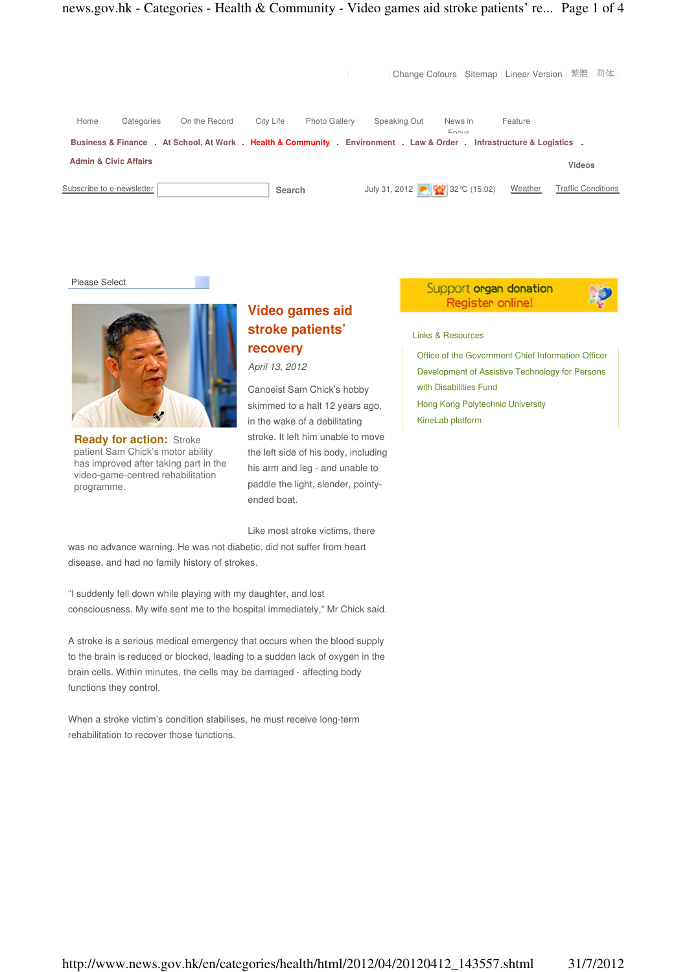

Please Select



**Ready for action: Stroke** patient Sam Chick's motor ability has improved after taking part in the video-game-centred rehabilitation programme.

# **Video games aid stroke patients' recovery**

April 13, 2012

Canoeist Sam Chick's hobby skimmed to a halt 12 years ago, in the wake of a debilitating stroke. It left him unable to move the left side of his body, including his arm and leg - and unable to paddle the light, slender, pointyended boat.

Like most stroke victims, there

was no advance warning. He was not diabetic, did not suffer from heart disease, and had no family history of strokes.

"I suddenly fell down while playing with my daughter, and lost consciousness. My wife sent me to the hospital immediately," Mr Chick said.

A stroke is a serious medical emergency that occurs when the blood supply to the brain is reduced or blocked, leading to a sudden lack of oxygen in the brain cells. Within minutes, the cells may be damaged - affecting body functions they control.

When a stroke victim's condition stabilises, he must receive long-term rehabilitation to recover those functions.

## Support organ donation Register online!



Links & Resources

Office of the Government Chief Information Officer Development of Assistive Technology for Persons with Disabilities Fund Hong Kong Polytechnic University KineLab platform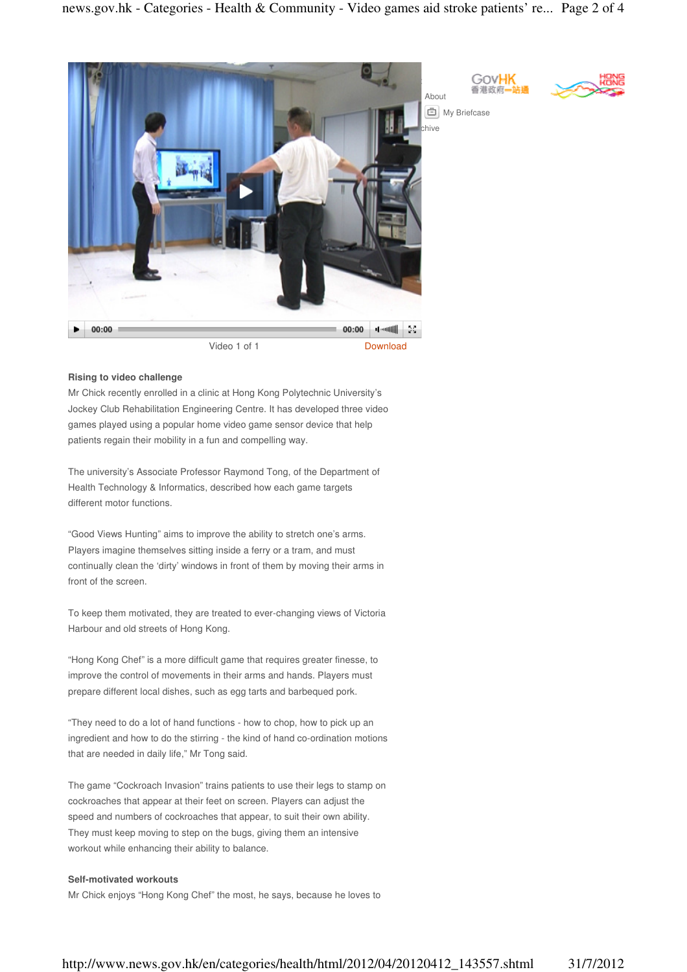

### **Rising to video challenge**

Mr Chick recently enrolled in a clinic at Hong Kong Polytechnic University's Jockey Club Rehabilitation Engineering Centre. It has developed three video games played using a popular home video game sensor device that help patients regain their mobility in a fun and compelling way.

The university's Associate Professor Raymond Tong, of the Department of Health Technology & Informatics, described how each game targets different motor functions.

"Good Views Hunting" aims to improve the ability to stretch one's arms. Players imagine themselves sitting inside a ferry or a tram, and must continually clean the 'dirty' windows in front of them by moving their arms in front of the screen.

To keep them motivated, they are treated to ever-changing views of Victoria Harbour and old streets of Hong Kong.

"Hong Kong Chef" is a more difficult game that requires greater finesse, to improve the control of movements in their arms and hands. Players must prepare different local dishes, such as egg tarts and barbequed pork.

"They need to do a lot of hand functions - how to chop, how to pick up an ingredient and how to do the stirring - the kind of hand co-ordination motions that are needed in daily life," Mr Tong said.

The game "Cockroach Invasion" trains patients to use their legs to stamp on cockroaches that appear at their feet on screen. Players can adjust the speed and numbers of cockroaches that appear, to suit their own ability. They must keep moving to step on the bugs, giving them an intensive workout while enhancing their ability to balance.

#### **Self-motivated workouts**

Mr Chick enjoys "Hong Kong Chef" the most, he says, because he loves to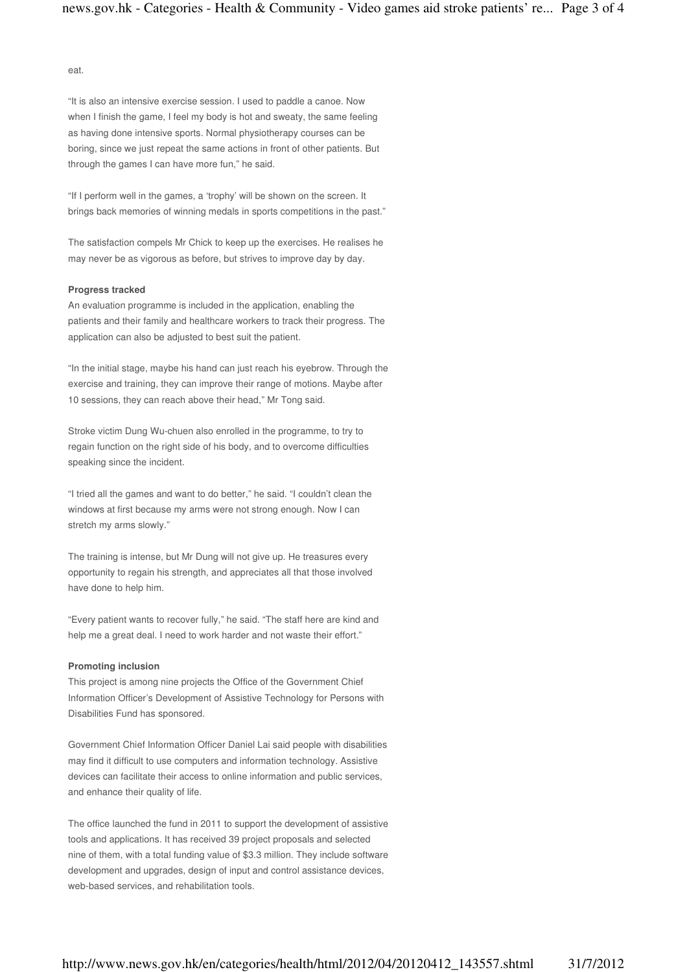eat.

"It is also an intensive exercise session. I used to paddle a canoe. Now when I finish the game, I feel my body is hot and sweaty, the same feeling as having done intensive sports. Normal physiotherapy courses can be boring, since we just repeat the same actions in front of other patients. But through the games I can have more fun," he said.

"If I perform well in the games, a 'trophy' will be shown on the screen. It brings back memories of winning medals in sports competitions in the past."

The satisfaction compels Mr Chick to keep up the exercises. He realises he may never be as vigorous as before, but strives to improve day by day.

#### **Progress tracked**

An evaluation programme is included in the application, enabling the patients and their family and healthcare workers to track their progress. The application can also be adjusted to best suit the patient.

"In the initial stage, maybe his hand can just reach his eyebrow. Through the exercise and training, they can improve their range of motions. Maybe after 10 sessions, they can reach above their head," Mr Tong said.

Stroke victim Dung Wu-chuen also enrolled in the programme, to try to regain function on the right side of his body, and to overcome difficulties speaking since the incident.

"I tried all the games and want to do better," he said. "I couldn't clean the windows at first because my arms were not strong enough. Now I can stretch my arms slowly."

The training is intense, but Mr Dung will not give up. He treasures every opportunity to regain his strength, and appreciates all that those involved have done to help him.

"Every patient wants to recover fully," he said. "The staff here are kind and help me a great deal. I need to work harder and not waste their effort."

#### **Promoting inclusion**

This project is among nine projects the Office of the Government Chief Information Officer's Development of Assistive Technology for Persons with Disabilities Fund has sponsored.

Government Chief Information Officer Daniel Lai said people with disabilities may find it difficult to use computers and information technology. Assistive devices can facilitate their access to online information and public services, and enhance their quality of life.

The office launched the fund in 2011 to support the development of assistive tools and applications. It has received 39 project proposals and selected nine of them, with a total funding value of \$3.3 million. They include software development and upgrades, design of input and control assistance devices, web-based services, and rehabilitation tools.